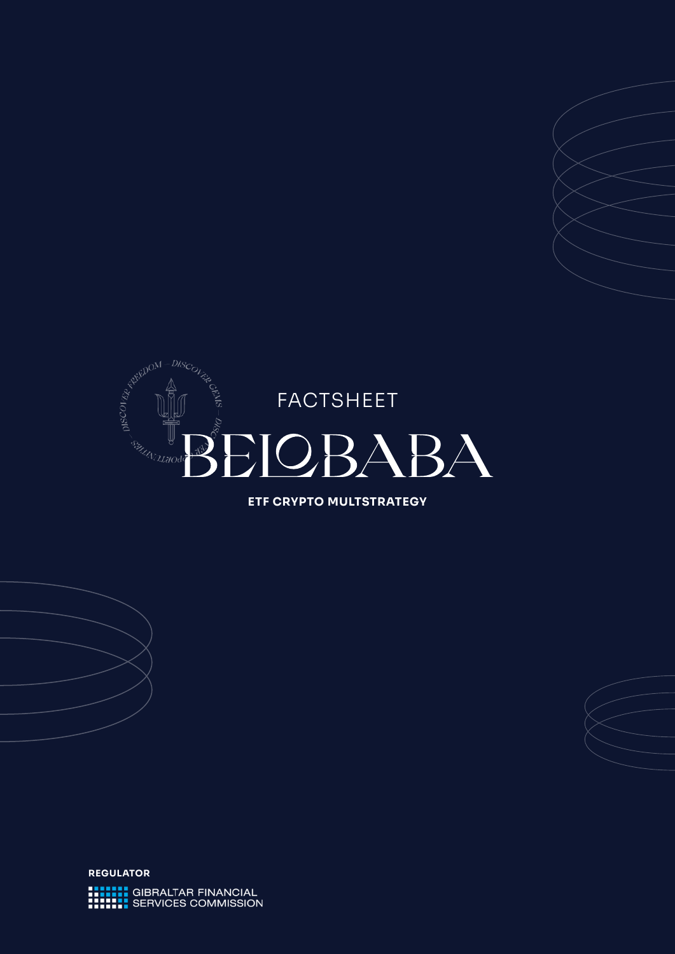

**ETF CRYPTO MULTSTRATEGY**

**REGULATORHELLE GIBRALTAR FINANCIAL**<br>**HELLE SERVICES COMMISSION**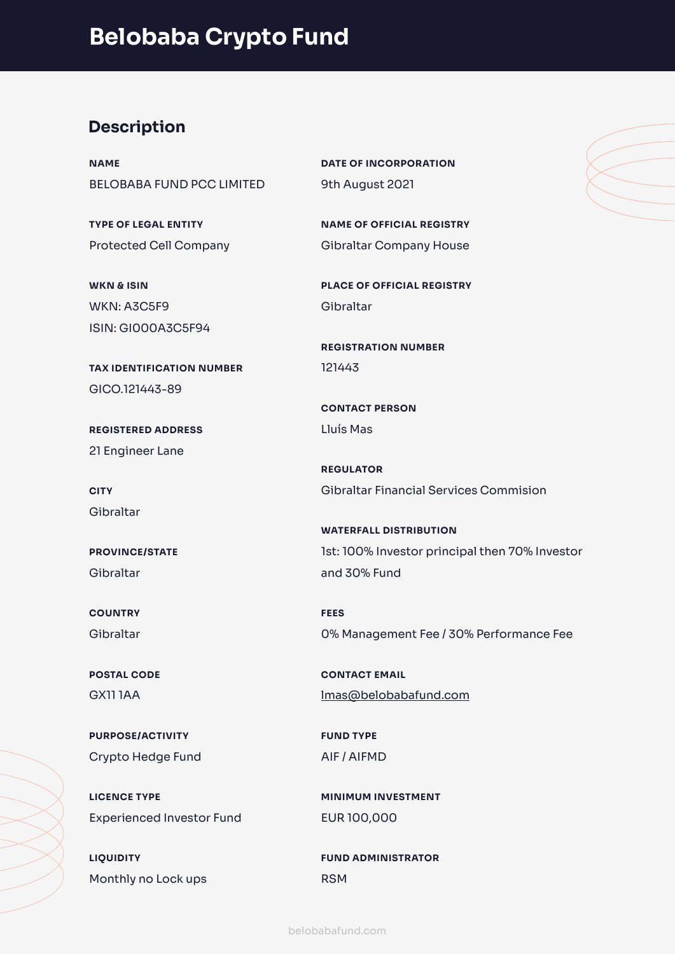# **Description**

**NAME** BELOBABA FUND PCC LIMITED

**TYPE OF LEGAL ENTITY** Protected Cell Company

**WKN & ISIN** WKN: A3C5F9 ISIN: GI000A3C5F94

**TAX IDENTIFICATION NUMBER** GICO.121443-89

**REGISTERED ADDRESS**  21 Engineer Lane

**CITY** Gibraltar

**PROVINCE/STATE** Gibraltar

**COUNTRY** Gibraltar

**POSTAL CODE** GX11 1AA

**PURPOSE/ACTIVITY** Crypto Hedge Fund

**LICENCE TYPE** Experienced Investor Fund

**LIQUIDITY** Monthly no Lock ups **DATE OF INCORPORATION** 9th August 2021

**NAME OF OFFICIAL REGISTRY** Gibraltar Company House

**PLACE OF OFFICIAL REGISTRY** Gibraltar

**REGISTRATION NUMBER** 121443

**CONTACT PERSON** Lluís Mas

**REGULATOR** Gibraltar Financial Services Commision

**WATERFALL DISTRIBUTION** 1st: 100% Investor principal then 70% Investor and 30% Fund

**FEES** 0% Management Fee / 30% Performance Fee

**CONTACT EMAIL** [lmas@belobabafund.com](mailto:lmas@belobabafund.com)

**FUND TYPE** AIF / AIFMD

**MINIMUM INVESTMENT** EUR 100,000

**FUND ADMINISTRATOR** RSM

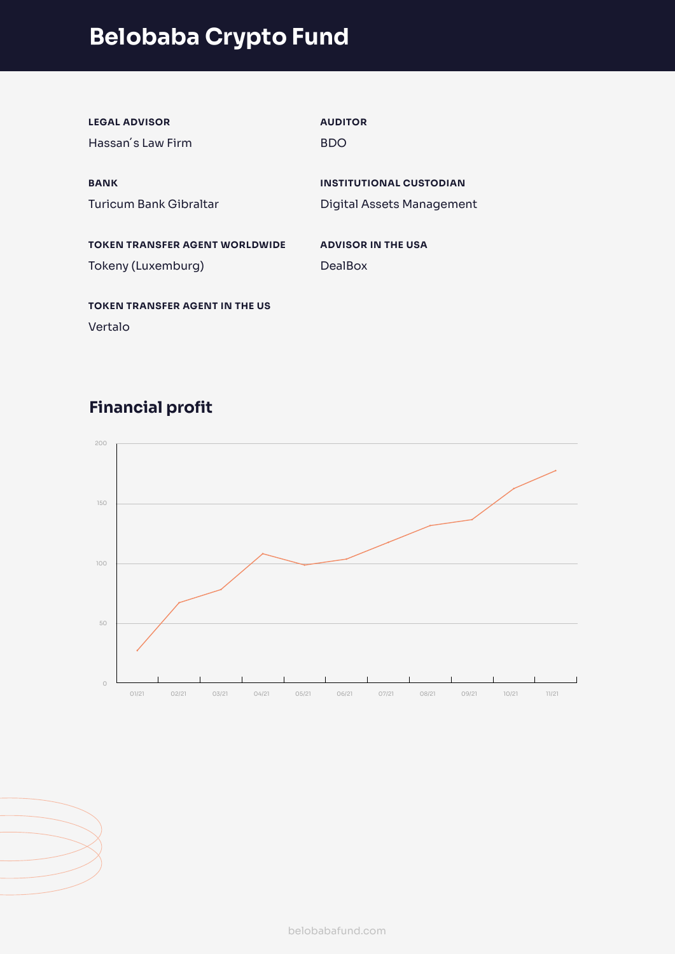# **Belobaba Crypto Fund**

| <b>LEGAL ADVISOR</b>                  | <b>AUDITOR</b>                   |
|---------------------------------------|----------------------------------|
| Hassan's Law Firm                     | <b>BDO</b>                       |
|                                       |                                  |
| <b>BANK</b>                           | <b>INSTITUTIONAL CUSTODIAN</b>   |
| Turicum Bank Gibraltar                | <b>Digital Assets Management</b> |
|                                       |                                  |
| <b>TOKEN TRANSFER AGENT WORLDWIDE</b> | <b>ADVISOR IN THE USA</b>        |
| Tokeny (Luxemburg)                    | <b>DealBox</b>                   |
|                                       |                                  |
| <b>TOKEN TRANSFER AGENT IN THE US</b> |                                  |
| Vertalo                               |                                  |

# **Financial profit**





[belobabafund.com](http://www.belobabafund.com)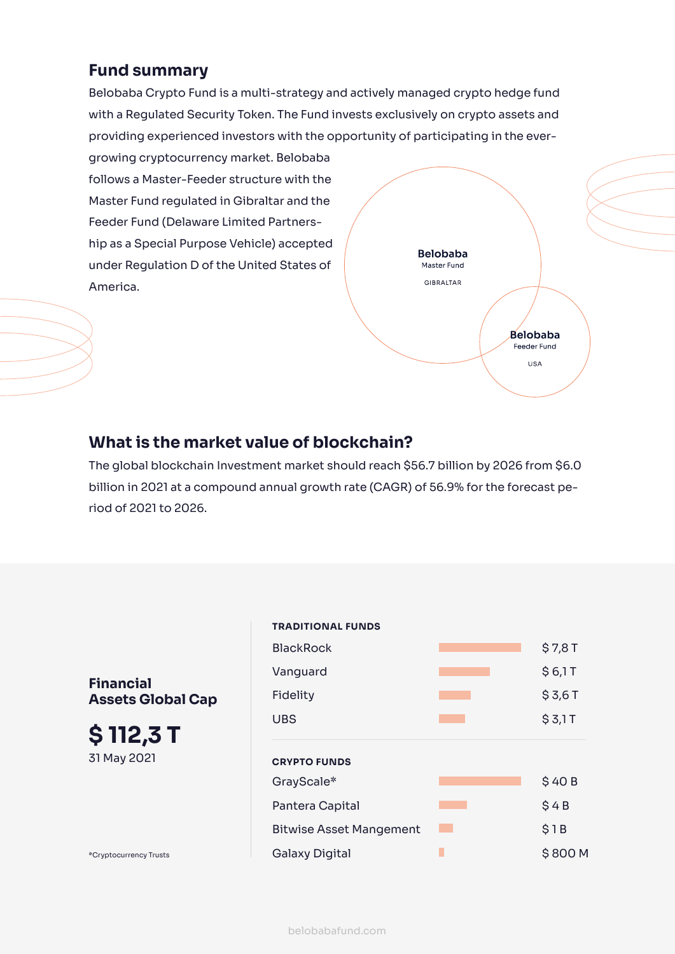### **Fund summary**

Belobaba Crypto Fund is a multi-strategy and actively managed crypto hedge fund with a Regulated Security Token. The Fund invests exclusively on crypto assets and providing experienced investors with the opportunity of participating in the ever-

growing cryptocurrency market. Belobaba follows a Master-Feeder structure with the Master Fund regulated in Gibraltar and the Feeder Fund (Delaware Limited Partnership as a Special Purpose Vehicle) accepted under Regulation D of the United States of America.



### **What is the market value of blockchain?**

The global blockchain Investment market should reach \$56.7 billion by 2026 from \$6.0 billion in 2021 at a compound annual growth rate (CAGR) of 56.9% for the forecast period of 2021 to 2026.

**Financial Assets Global Cap**

**\$ 112,3 T**  31 May 2021

\*Cryptocurrency Trusts

BlackRock \$7,8 T Vanguard \$ 6,1 T Fidelity \$3,6 T UBS  $\begin{array}{ccc} & & \circ & \circ & \circ \\ \hline \end{array}$   $\begin{array}{ccc} & \circ & \circ & \circ \\ \circ & \circ & \circ \circ \end{array}$   $\begin{array}{ccc} \circ & \circ & \circ \\ \circ & \circ & \circ \end{array}$ **TRADITIONAL FUNDS** GrayScale\* 540 B Pantera Capital **Bantera Capital** \$ 4 B Bitwise Asset Mangement **1 Bitwise Asset Mangement** 1 B Galaxy Digital **Calacter Calacter Calacter Calacter** State State State State State State State State State State State State State State State State State State State State State State State State State State State State S **CRYPTO FUNDS**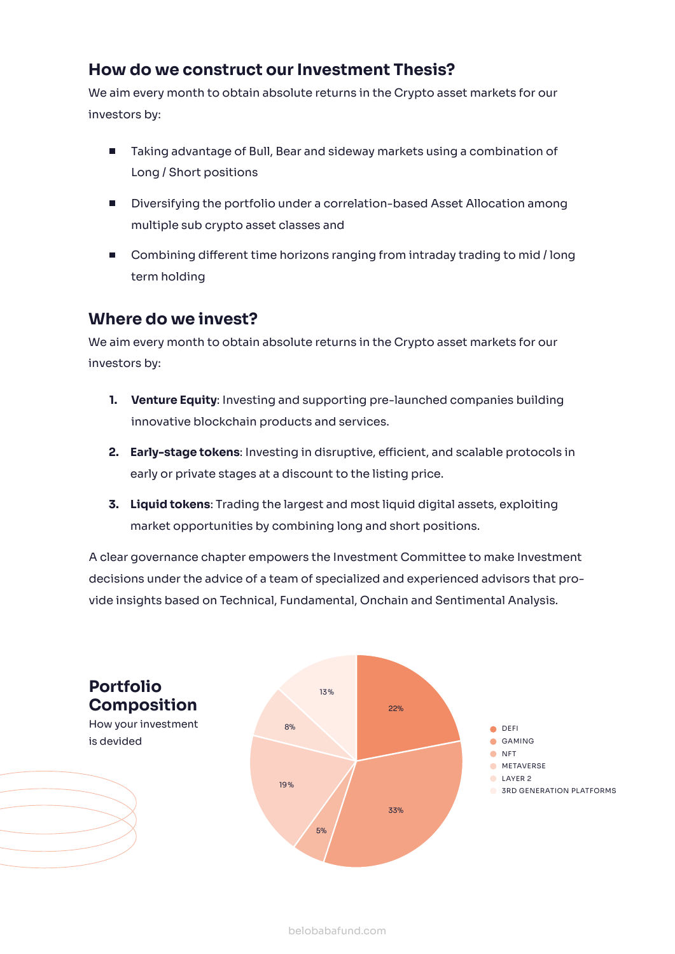### **How do we construct our Investment Thesis?**

We aim every month to obtain absolute returns in the Crypto asset markets for our investors by:

- Taking advantage of Bull, Bear and sideway markets using a combination of Long / Short positions
- **Diversifying the portfolio under a correlation-based Asset Allocation among** multiple sub crypto asset classes and
- Combining different time horizons ranging from intraday trading to mid / long term holding

### **Where do we invest?**

We aim every month to obtain absolute returns in the Crypto asset markets for our investors by:

- **Venture Equity**: Investing and supporting pre-launched companies building **1.** innovative blockchain products and services.
- **Early-stage tokens**: Investing in disruptive, efficient, and scalable protocols in **2.** early or private stages at a discount to the listing price.
- **Liquid tokens**: Trading the largest and most liquid digital assets, exploiting **3.** market opportunities by combining long and short positions.

A clear governance chapter empowers the Investment Committee to make Investment decisions under the advice of a team of specialized and experienced advisors that provide insights based on Technical, Fundamental, Onchain and Sentimental Analysis.

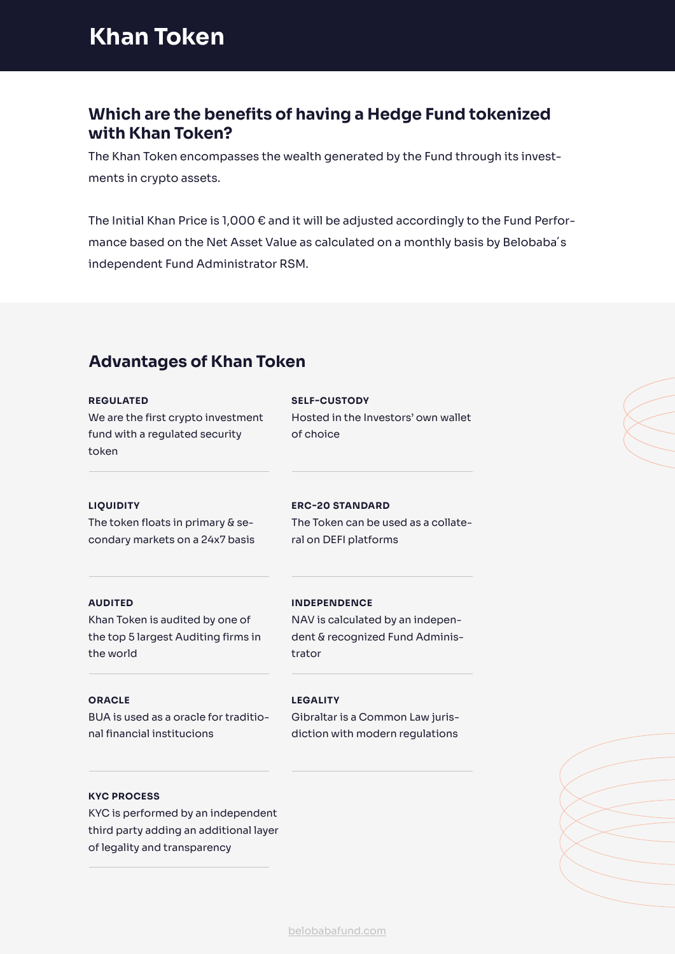# **Khan Token**

### **Which are the benefits of having a Hedge Fund tokenized with Khan Token?**

The Khan Token encompasses the wealth generated by the Fund through its investments in crypto assets.

The Initial Khan Price is 1,000 € and it will be adjusted accordingly to the Fund Performance based on the Net Asset Value as calculated on a monthly basis by Belobaba´s independent Fund Administrator RSM.

## **Advantages of Khan Token**

### **REGULATED**

We are the first crypto investment fund with a regulated security token

### **SELF-CUSTODY**

Hosted in the Investors' own wallet of choice

### **LIQUIDITY**

The token floats in primary & secondary markets on a 24x7 basis

### **ERC-20 STANDARD**

**INDEPENDENCE**

The Token can be used as a collateral on DEFI platforms

NAV is calculated by an independent & recognized Fund Adminis-

### **AUDITED**

Khan Token is audited by one of the top 5 largest Auditing firms in the world

# **ORACLE**

BUA is used as a oracle for traditional financial institucions

### **LEGALITY**

trator

Gibraltar is a Common Law jurisdiction with modern regulations

### **KYC PROCESS**

KYC is performed by an independent third party adding an additional layer of legality and transparency